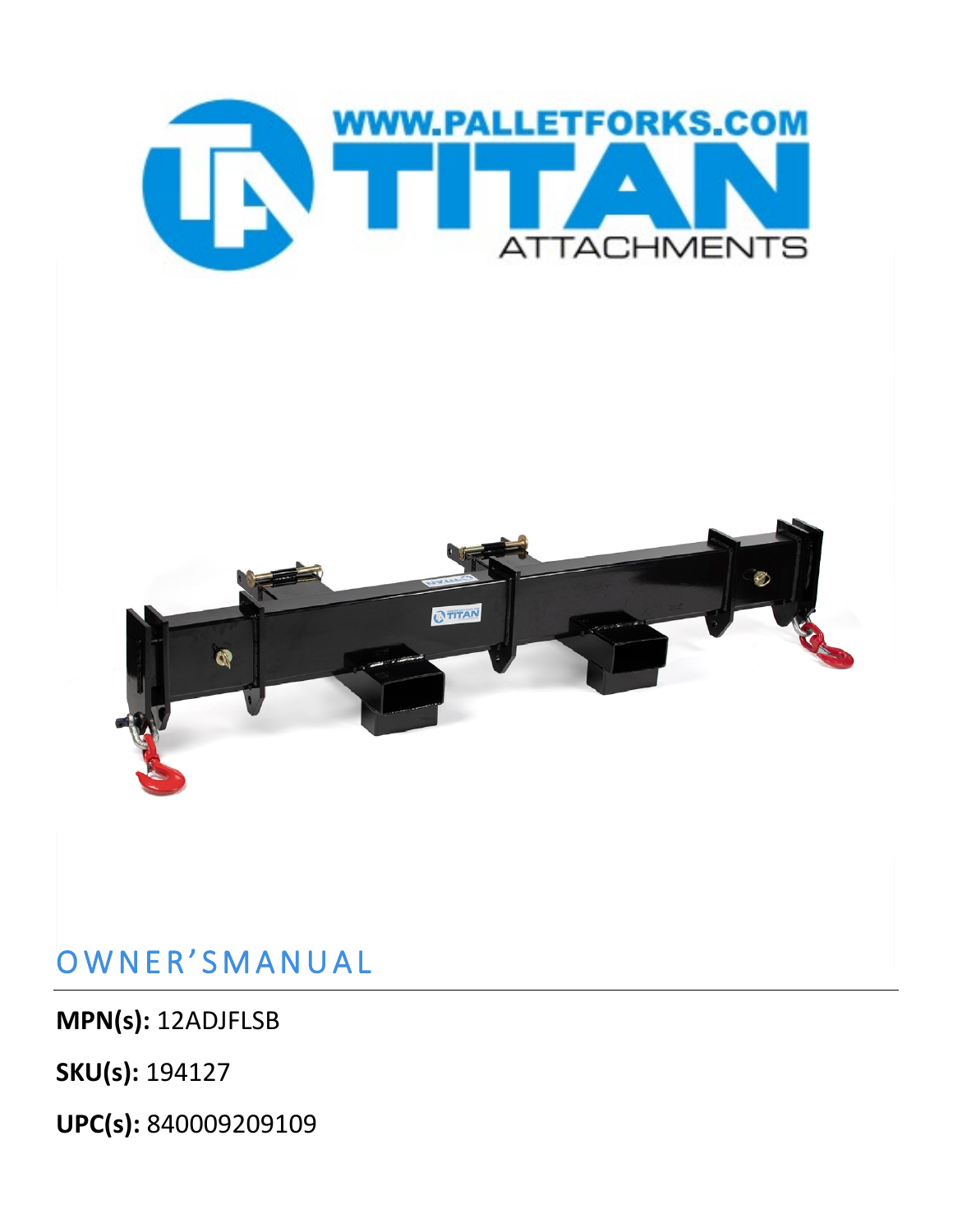

## OWNER'SMANUAL

**MPN(s):** 12ADJFLSB

**SKU(s):** 194127

**UPC(s):** 840009209109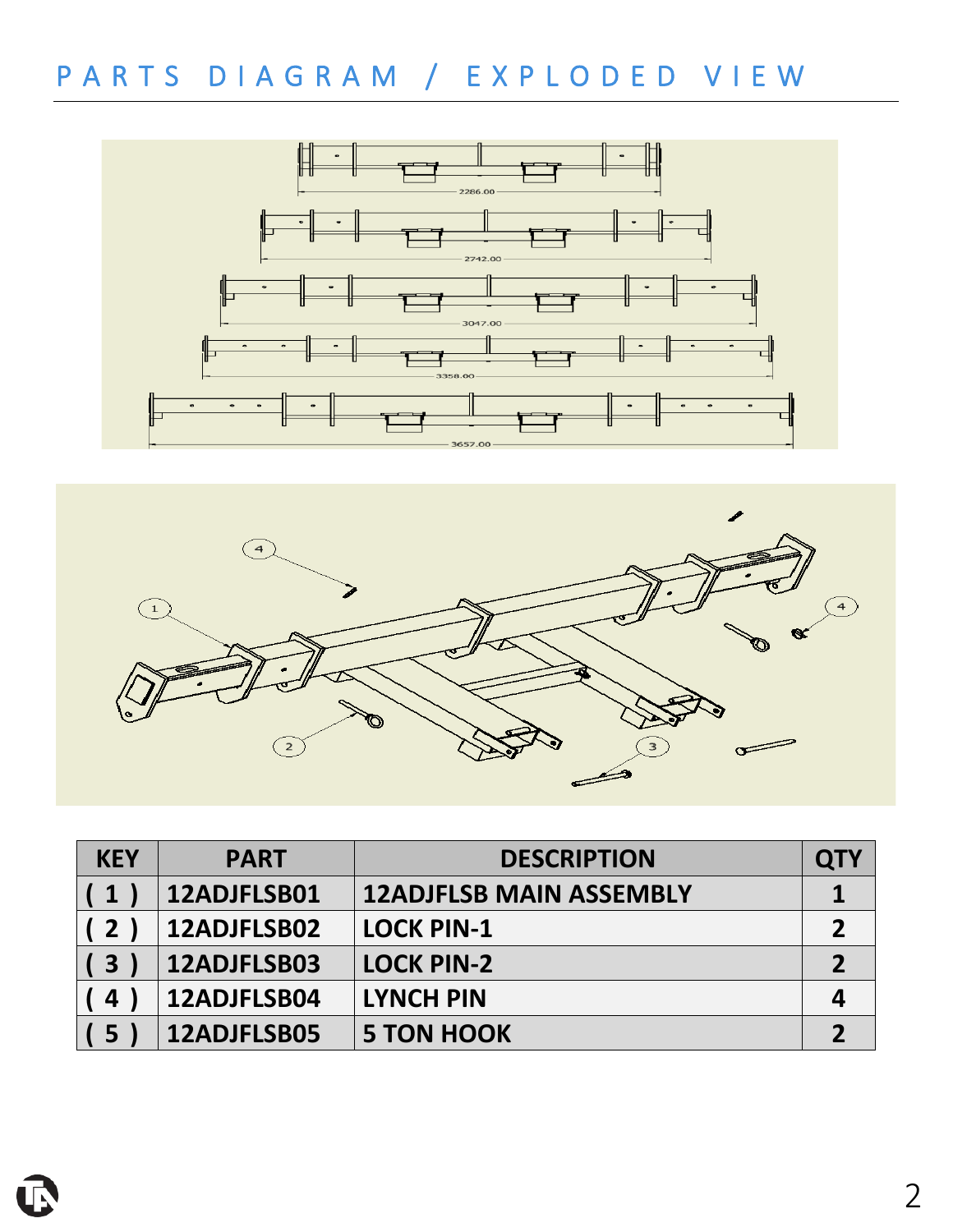## PARTS DIAGRAM / EXPLODED VIE W





| <b>KEY</b>     | <b>PART</b> | <b>DESCRIPTION</b>             | <b>QTY</b> |
|----------------|-------------|--------------------------------|------------|
| (1)            | 12ADJFLSB01 | <b>12ADJFLSB MAIN ASSEMBLY</b> |            |
| (2)            | 12ADJFLSB02 | <b>LOCK PIN-1</b>              |            |
| (3             | 12ADJFLSB03 | <b>LOCK PIN-2</b>              |            |
| $\overline{4}$ | 12ADJFLSB04 | <b>LYNCH PIN</b>               |            |
| (5             | 12ADJFLSB05 | <b>5 TON HOOK</b>              |            |

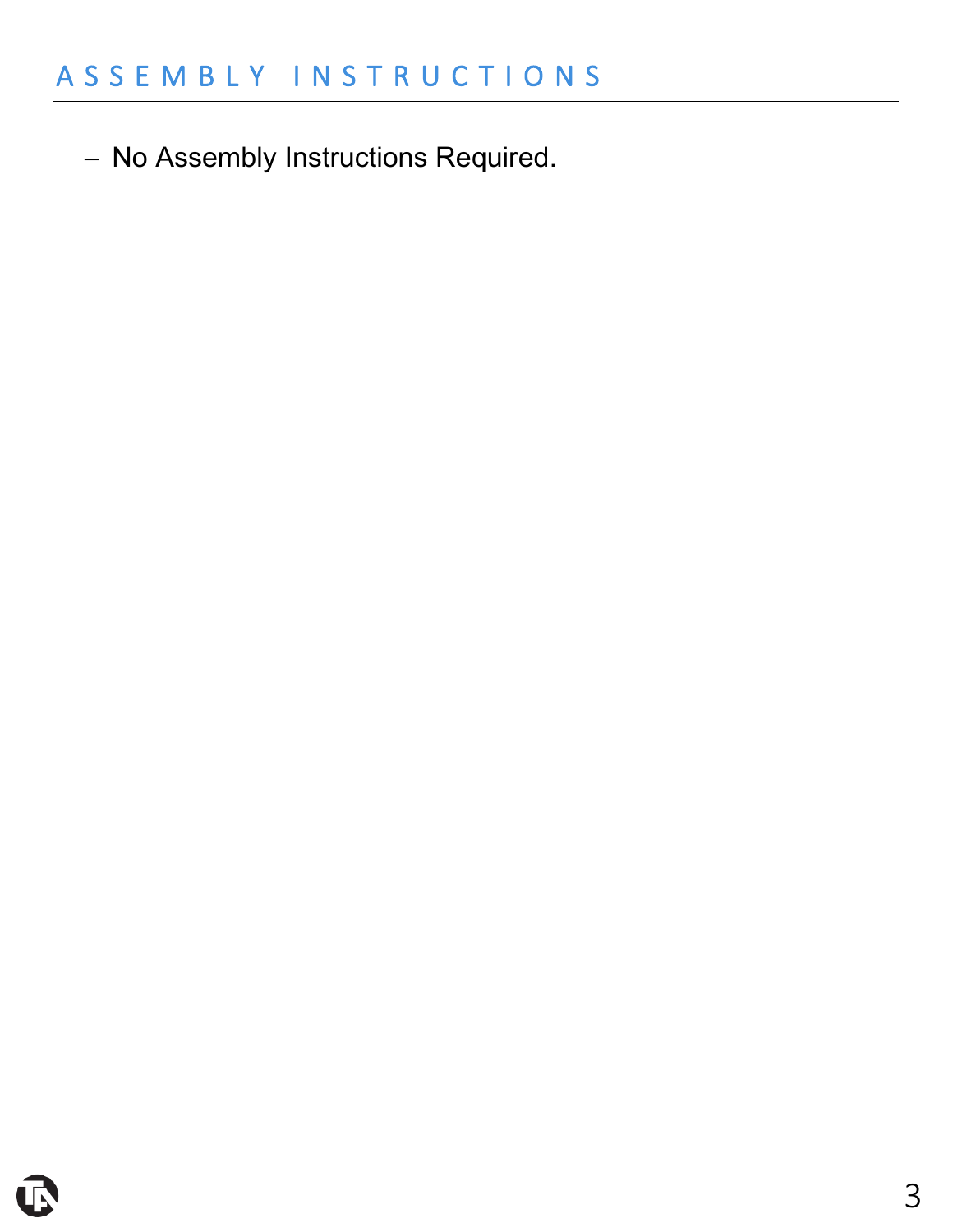− No Assembly Instructions Required.